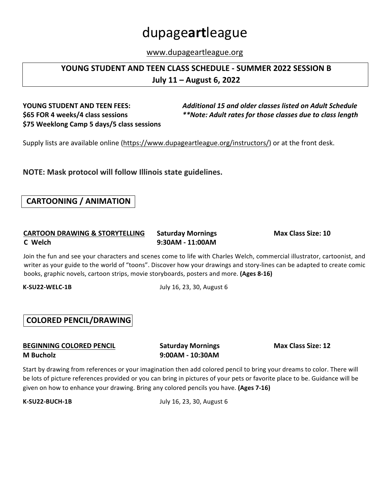# dupage**art**league

www.dupageartleague.org

### **YOUNG STUDENT AND TEEN CLASS SCHEDULE - SUMMER 2022 SESSION B July 11 – August 6, 2022**

# **\$75 Weeklong Camp 5 days/5 class sessions**

**YOUNG STUDENT AND TEEN FEES:**  *Additional 15 and older classes listed on Adult Schedule* **\$65 FOR 4** weeks/4 class sessions *\*\*Note:* Adult rates for those classes due to class length

Supply lists are available online (https://www.dupageartleague.org/instructors/) or at the front desk.

**NOTE: Mask protocol will follow Illinois state guidelines.** 

### **CARTOONING / ANIMATION**

### **CARTOON DRAWING & STORYTELLING Saturday Mornings Max Class Size: 10 C Welch 9:30AM - 11:00AM**

Join the fun and see your characters and scenes come to life with Charles Welch, commercial illustrator, cartoonist, and writer as your guide to the world of "toons". Discover how your drawings and story-lines can be adapted to create comic books, graphic novels, cartoon strips, movie storyboards, posters and more. (Ages 8-16)

**K-SU22-WELC-1B** July 16, 23, 30, August 6

### **COLORED PENCIL/DRAWING**

**BEGINNING COLORED PENCIL Saturday Mornings Max Class Size: 12 M** Bucholz **9:00AM** - 10:30AM

Start by drawing from references or your imagination then add colored pencil to bring your dreams to color. There will be lots of picture references provided or you can bring in pictures of your pets or favorite place to be. Guidance will be given on how to enhance your drawing. Bring any colored pencils you have. (Ages 7-16)

**K-SU22-BUCH-1B** July 16, 23, 30, August 6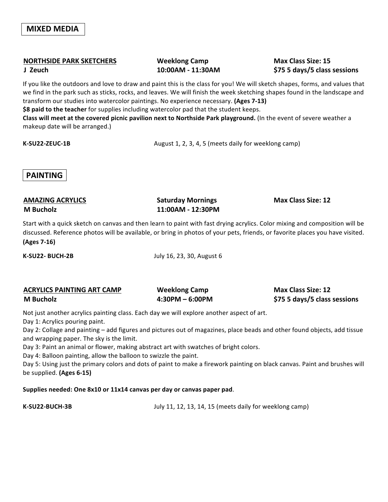### **NORTHSIDE PARK SKETCHERS Weeklong Camp Max Class Size: 15**

**J Zeuch 10:00AM - 11:30AM \$75 5 days/5 class sessions**

If you like the outdoors and love to draw and paint this is the class for you! We will sketch shapes, forms, and values that we find in the park such as sticks, rocks, and leaves. We will finish the week sketching shapes found in the landscape and transform our studies into watercolor paintings. No experience necessary. (Ages 7-13)

\$8 paid to the teacher for supplies including watercolor pad that the student keeps.

Class will meet at the covered picnic pavilion next to Northside Park playground. (In the event of severe weather a makeup date will be arranged.)

**K-SU22-ZEUC-1B** August 1, 2, 3, 4, 5 (meets daily for weeklong camp)

### **PAINTING**

### **AMAZING ACRYLICS Saturday Mornings Max Class Size: 12 M Bucholz 11:00AM - 12:30PM**

Start with a quick sketch on canvas and then learn to paint with fast drying acrylics. Color mixing and composition will be discussed. Reference photos will be available, or bring in photos of your pets, friends, or favorite places you have visited. **(Ages 7-16)**

**K-SU22- BUCH-2B** July 16, 23, 30, August 6

| <b>ACRYLICS PAINTING ART CAMP</b> | <b>Weeklong Camp</b> | <b>Max Class Size: 12</b>    |
|-----------------------------------|----------------------|------------------------------|
| <b>M</b> Bucholz                  | 4:30PM - 6:00PM      | \$75 5 days/5 class sessions |

Not just another acrylics painting class. Each day we will explore another aspect of art.

Day 1: Acrylics pouring paint.

Day 2: Collage and painting – add figures and pictures out of magazines, place beads and other found objects, add tissue and wrapping paper. The sky is the limit.

Day 3: Paint an animal or flower, making abstract art with swatches of bright colors.

Day 4: Balloon painting, allow the balloon to swizzle the paint.

Day 5: Using just the primary colors and dots of paint to make a firework painting on black canvas. Paint and brushes will be supplied. (Ages 6-15)

Supplies needed: One 8x10 or 11x14 canvas per day or canvas paper pad.

**K-SU22-BUCH-3B** July 11, 12, 13, 14, 15 (meets daily for weeklong camp)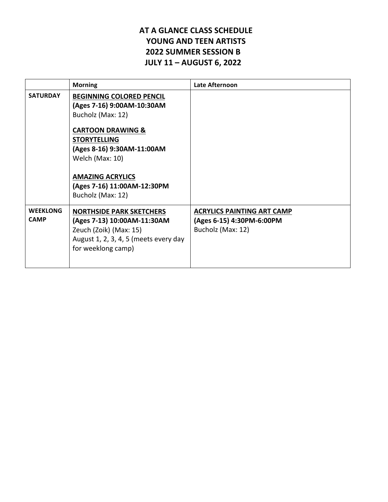### **AT A GLANCE CLASS SCHEDULE** YOUNG AND TEEN ARTISTS **2022 SUMMER SESSION B JULY 11 – AUGUST 6, 2022**

|                                | <b>Morning</b>                                                                                                                                                                                                                                                            | Late Afternoon                                                                      |
|--------------------------------|---------------------------------------------------------------------------------------------------------------------------------------------------------------------------------------------------------------------------------------------------------------------------|-------------------------------------------------------------------------------------|
| <b>SATURDAY</b>                | <b>BEGINNING COLORED PENCIL</b><br>(Ages 7-16) 9:00AM-10:30AM<br>Bucholz (Max: 12)<br><b>CARTOON DRAWING &amp;</b><br><b>STORYTELLING</b><br>(Ages 8-16) 9:30AM-11:00AM<br>Welch (Max: 10)<br><b>AMAZING ACRYLICS</b><br>(Ages 7-16) 11:00AM-12:30PM<br>Bucholz (Max: 12) |                                                                                     |
| <b>WEEKLONG</b><br><b>CAMP</b> | <b>NORTHSIDE PARK SKETCHERS</b><br>(Ages 7-13) 10:00AM-11:30AM<br>Zeuch (Zoik) (Max: 15)<br>August 1, 2, 3, 4, 5 (meets every day<br>for weeklong camp)                                                                                                                   | <b>ACRYLICS PAINTING ART CAMP</b><br>(Ages 6-15) 4:30PM-6:00PM<br>Bucholz (Max: 12) |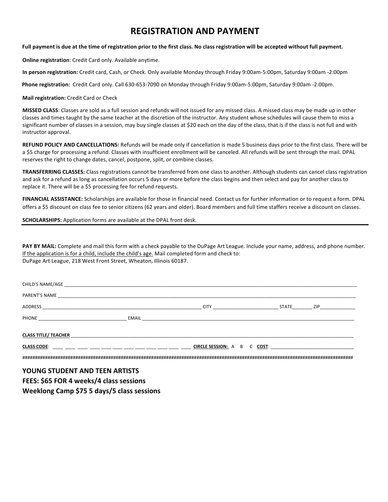### **REGISTRATION AND PAYMENT**

### Full payment is due at the time of registration prior to the first class. No class registration will be accepted without full payment.

**Online registration**: Credit Card only. Available anytime.

**In person registration:** Credit card, Cash, or Check. Only available Monday through Friday 9:00am-5:00pm, Saturday 9:00am -2:00pm

Phone registration: Credit Card only. Call 630-653-7090 on Monday through Friday 9:00am-5:00pm, Saturday 9:00am -2:00pm.

**Mail registration:** Credit Card or Check

**MISSED CLASS:** Classes are sold as a full session and refunds will not issued for any missed class. A missed class may be made up in other classes and times taught by the same teacher at the discretion of the instructor. Any student whose schedules will cause them to miss a significant number of classes in a session, may buy single classes at \$20 each on the day of the class, that is if the class is not full and with instructor approval.

REFUND POLICY AND CANCELLATIONS: Refunds will be made only if cancellation is made 5 business days prior to the first class. There will be a \$5 charge for processing a refund. Classes with insufficient enrollment will be canceled. All refunds will be sent through the mail. DPAL reserves the right to change dates, cancel, postpone, split, or combine classes.

**TRANSFERRING CLASSES:** Class registrations cannot be transferred from one class to another. Although students can cancel class registration and ask for a refund as long as cancellation occurs 5 days or more before the class begins and then select and pay for another class to replace it. There will be a \$5 processing fee for refund requests.

FINANCIAL ASSISTANCE: Scholarships are available for those in financial need. Contact us for further information or to request a form. DPAL offers a \$5 discount on class fee to senior citizens (62 years and older). Board members and full time staffers receive a discount on classes.

**SCHOLARSHIPS:** Application forms are available at the DPAL front desk.

PAY BY MAIL: Complete and mail this form with a check payable to the DuPage Art League. Include your name, address, and phone number. If the application is for a child, include the child's age. Mail completed form and check to: DuPage Art League, 218 West Front Street, Wheaton, Illinois 60187.

| CHILD'S NAME/AGE            |       |                          |  |  |           |       |                       |
|-----------------------------|-------|--------------------------|--|--|-----------|-------|-----------------------|
| PARENT'S NAME               |       |                          |  |  |           |       |                       |
| ADDRESS                     |       | <b>CITY</b>              |  |  |           | STATE | <b>ZIP Example 20</b> |
| <b>PHONE</b>                | EMAIL |                          |  |  |           |       |                       |
| <b>CLASS TITLE/ TEACHER</b> |       |                          |  |  |           |       |                       |
| <b>CLASS CODE:</b>          |       | <b>CIRCLE SESSION: A</b> |  |  | B C COST: |       |                       |
|                             |       |                          |  |  |           |       |                       |

YOUNG STUDENT AND TEEN ARTISTS

**FEES: \$65 FOR 4 weeks/4 class sessions**

**Weeklong Camp \$75 5 days/5 class sessions**